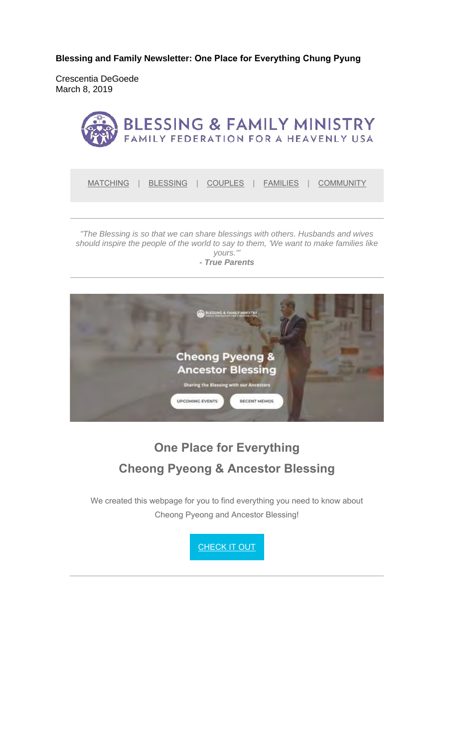**Blessing and Family Newsletter: One Place for Everything Chung Pyung**

Crescentia DeGoede March 8, 2019



*"The Blessing is so that we can share blessings with others. Husbands and wives should inspire the people of the world to say to them, 'We want to make families like yours.'" - True Parents*





# **One Place for Everything Cheong Pyeong & Ancestor Blessing**

We created this webpage for you to find everything you need to know about Cheong Pyeong and Ancestor Blessing!

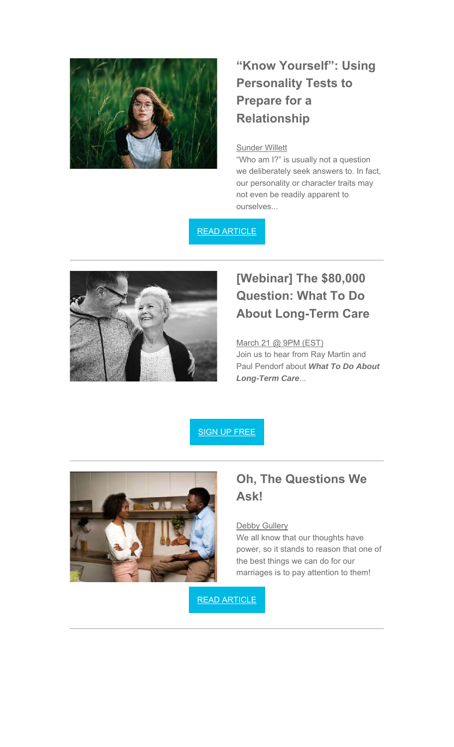

## **"Know Yourself": Using Personality Tests to Prepare for a Relationship**

### Sunder Willett

"Who am I?" is usually not a question we deliberately seek answers to. In fact, our personality or character traits may not even be readily apparent to ourselves...

READ ARTICLE



## **[Webinar] The \$80,000 Question: What To Do About Long-Term Care**

#### March 21 @ 9PM (EST)

Join us to hear from Ray Martin and Paul Pendorf about *What To Do About Long-Term Care*...





### **Oh, The Questions We Ask!**

#### **Debby Gullery**

We all know that our thoughts have power, so it stands to reason that one of the best things we can do for our marriages is to pay attention to them!

READ ARTICLE